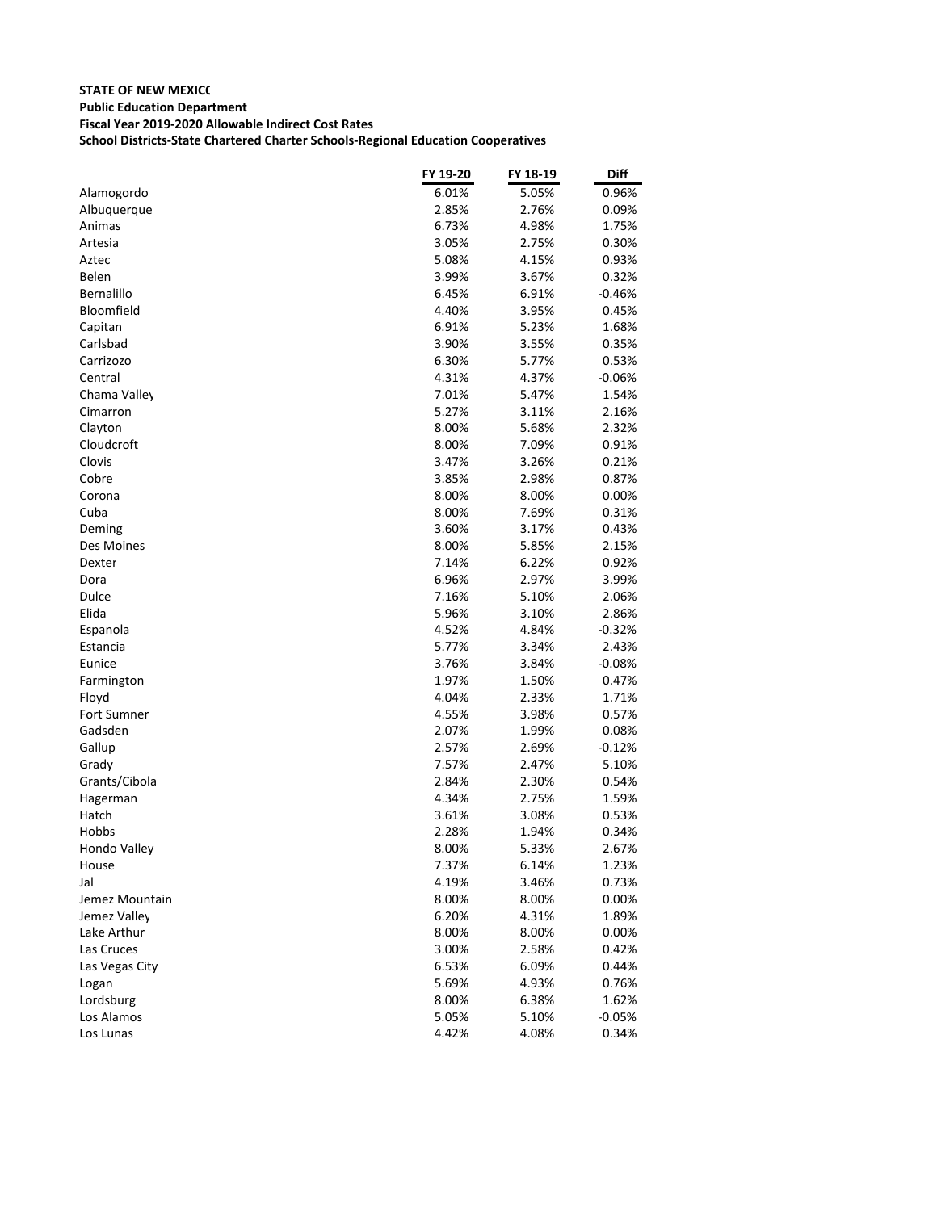|                    | FY 19-20 | FY 18-19 | <b>Diff</b> |
|--------------------|----------|----------|-------------|
| Alamogordo         | 6.01%    | 5.05%    | 0.96%       |
| Albuquerque        | 2.85%    | 2.76%    | 0.09%       |
| Animas             | 6.73%    | 4.98%    | 1.75%       |
| Artesia            | 3.05%    | 2.75%    | 0.30%       |
| Aztec              | 5.08%    | 4.15%    | 0.93%       |
| Belen              | 3.99%    | 3.67%    | 0.32%       |
| <b>Bernalillo</b>  | 6.45%    | 6.91%    | $-0.46%$    |
| Bloomfield         | 4.40%    | 3.95%    | 0.45%       |
| Capitan            | 6.91%    | 5.23%    | 1.68%       |
| Carlsbad           | 3.90%    | 3.55%    | 0.35%       |
| Carrizozo          | 6.30%    | 5.77%    | 0.53%       |
| Central            | 4.31%    | 4.37%    | $-0.06%$    |
| Chama Valley       | 7.01%    | 5.47%    | 1.54%       |
| Cimarron           | 5.27%    | 3.11%    | 2.16%       |
| Clayton            | 8.00%    | 5.68%    | 2.32%       |
| Cloudcroft         | 8.00%    | 7.09%    | 0.91%       |
| Clovis             | 3.47%    | 3.26%    | 0.21%       |
| Cobre              | 3.85%    | 2.98%    | 0.87%       |
| Corona             | 8.00%    | 8.00%    | 0.00%       |
| Cuba               | 8.00%    | 7.69%    | 0.31%       |
| Deming             | 3.60%    | 3.17%    | 0.43%       |
| Des Moines         | 8.00%    | 5.85%    | 2.15%       |
| Dexter             | 7.14%    | 6.22%    | 0.92%       |
| Dora               | 6.96%    | 2.97%    | 3.99%       |
| Dulce              | 7.16%    | 5.10%    | 2.06%       |
| Elida              | 5.96%    | 3.10%    | 2.86%       |
| Espanola           | 4.52%    | 4.84%    | $-0.32%$    |
| Estancia           | 5.77%    | 3.34%    | 2.43%       |
| Eunice             | 3.76%    | 3.84%    | $-0.08\%$   |
| Farmington         | 1.97%    | 1.50%    | 0.47%       |
| Floyd              | 4.04%    | 2.33%    | 1.71%       |
| <b>Fort Sumner</b> | 4.55%    | 3.98%    | 0.57%       |
| Gadsden            | 2.07%    | 1.99%    | 0.08%       |
| Gallup             | 2.57%    | 2.69%    | $-0.12%$    |
| Grady              | 7.57%    | 2.47%    | 5.10%       |
| Grants/Cibola      | 2.84%    | 2.30%    | 0.54%       |
| Hagerman           | 4.34%    | 2.75%    | 1.59%       |
| Hatch              | 3.61%    | 3.08%    | 0.53%       |
| Hobbs              | 2.28%    | 1.94%    | 0.34%       |
| Hondo Valley       | 8.00%    | 5.33%    | 2.67%       |
| House              | 7.37%    | 6.14%    | 1.23%       |
| Jal                | 4.19%    | 3.46%    | 0.73%       |
| Jemez Mountain     | 8.00%    | 8.00%    | 0.00%       |
| Jemez Valley       | 6.20%    | 4.31%    | 1.89%       |
| Lake Arthur        | 8.00%    | 8.00%    | 0.00%       |
| Las Cruces         | 3.00%    | 2.58%    | 0.42%       |
| Las Vegas City     | 6.53%    | 6.09%    | 0.44%       |
| Logan              | 5.69%    | 4.93%    | 0.76%       |
| Lordsburg          | 8.00%    | 6.38%    | 1.62%       |
| Los Alamos         | 5.05%    | 5.10%    | $-0.05%$    |
| Los Lunas          | 4.42%    | 4.08%    | 0.34%       |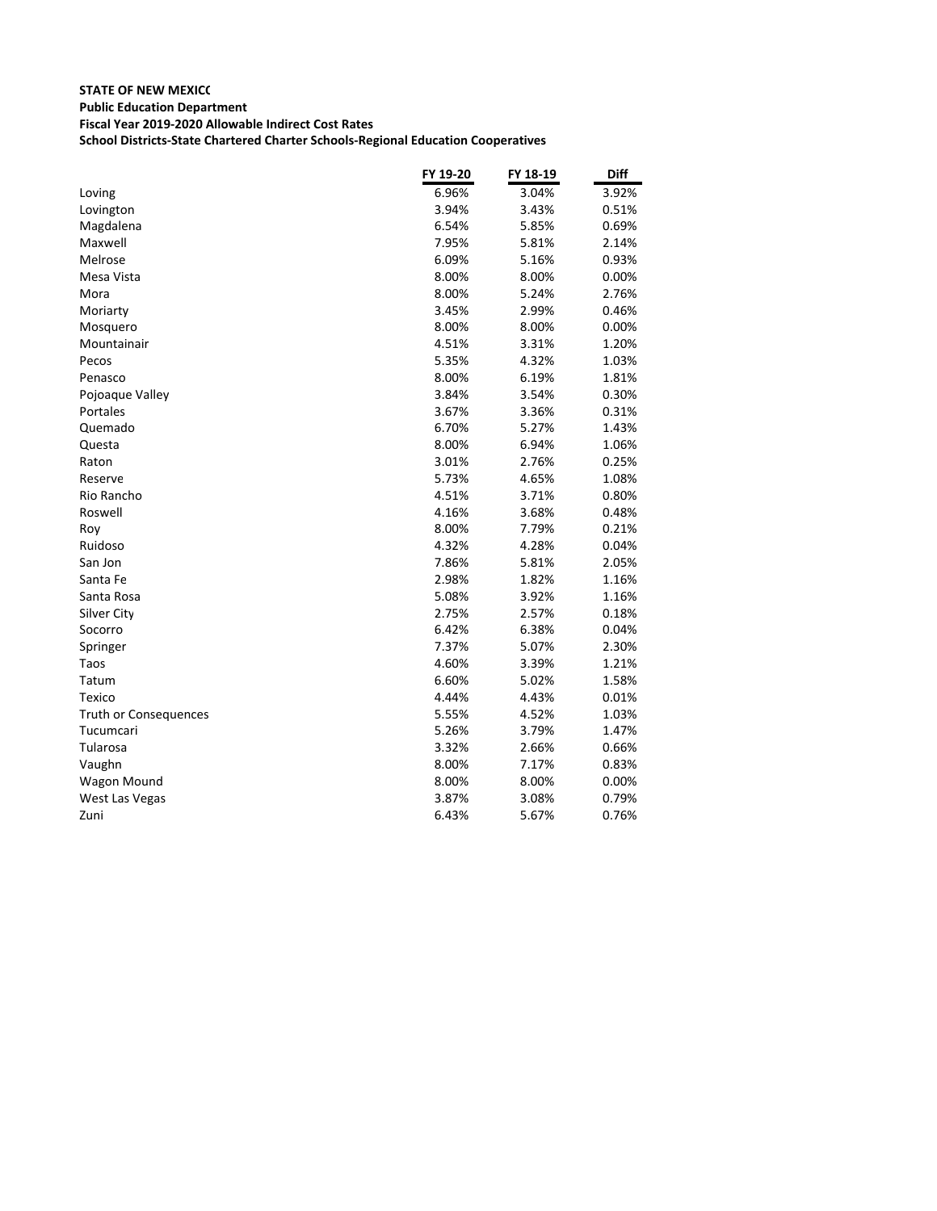|                       | FY 19-20 | FY 18-19 | <b>Diff</b> |
|-----------------------|----------|----------|-------------|
| Loving                | 6.96%    | 3.04%    | 3.92%       |
| Lovington             | 3.94%    | 3.43%    | 0.51%       |
| Magdalena             | 6.54%    | 5.85%    | 0.69%       |
| Maxwell               | 7.95%    | 5.81%    | 2.14%       |
| Melrose               | 6.09%    | 5.16%    | 0.93%       |
| Mesa Vista            | 8.00%    | 8.00%    | 0.00%       |
| Mora                  | 8.00%    | 5.24%    | 2.76%       |
| Moriarty              | 3.45%    | 2.99%    | 0.46%       |
| Mosquero              | 8.00%    | 8.00%    | 0.00%       |
| Mountainair           | 4.51%    | 3.31%    | 1.20%       |
| Pecos                 | 5.35%    | 4.32%    | 1.03%       |
| Penasco               | 8.00%    | 6.19%    | 1.81%       |
| Pojoaque Valley       | 3.84%    | 3.54%    | 0.30%       |
| Portales              | 3.67%    | 3.36%    | 0.31%       |
| Quemado               | 6.70%    | 5.27%    | 1.43%       |
| Questa                | 8.00%    | 6.94%    | 1.06%       |
| Raton                 | 3.01%    | 2.76%    | 0.25%       |
| Reserve               | 5.73%    | 4.65%    | 1.08%       |
| Rio Rancho            | 4.51%    | 3.71%    | 0.80%       |
| Roswell               | 4.16%    | 3.68%    | 0.48%       |
| Roy                   | 8.00%    | 7.79%    | 0.21%       |
| Ruidoso               | 4.32%    | 4.28%    | 0.04%       |
| San Jon               | 7.86%    | 5.81%    | 2.05%       |
| Santa Fe              | 2.98%    | 1.82%    | 1.16%       |
| Santa Rosa            | 5.08%    | 3.92%    | 1.16%       |
| Silver City           | 2.75%    | 2.57%    | 0.18%       |
| Socorro               | 6.42%    | 6.38%    | 0.04%       |
| Springer              | 7.37%    | 5.07%    | 2.30%       |
| Taos                  | 4.60%    | 3.39%    | 1.21%       |
| Tatum                 | 6.60%    | 5.02%    | 1.58%       |
| Texico                | 4.44%    | 4.43%    | 0.01%       |
| Truth or Consequences | 5.55%    | 4.52%    | 1.03%       |
| Tucumcari             | 5.26%    | 3.79%    | 1.47%       |
| Tularosa              | 3.32%    | 2.66%    | 0.66%       |
| Vaughn                | 8.00%    | 7.17%    | 0.83%       |
| Wagon Mound           | 8.00%    | 8.00%    | 0.00%       |
| West Las Vegas        | 3.87%    | 3.08%    | 0.79%       |
| Zuni                  | 6.43%    | 5.67%    | 0.76%       |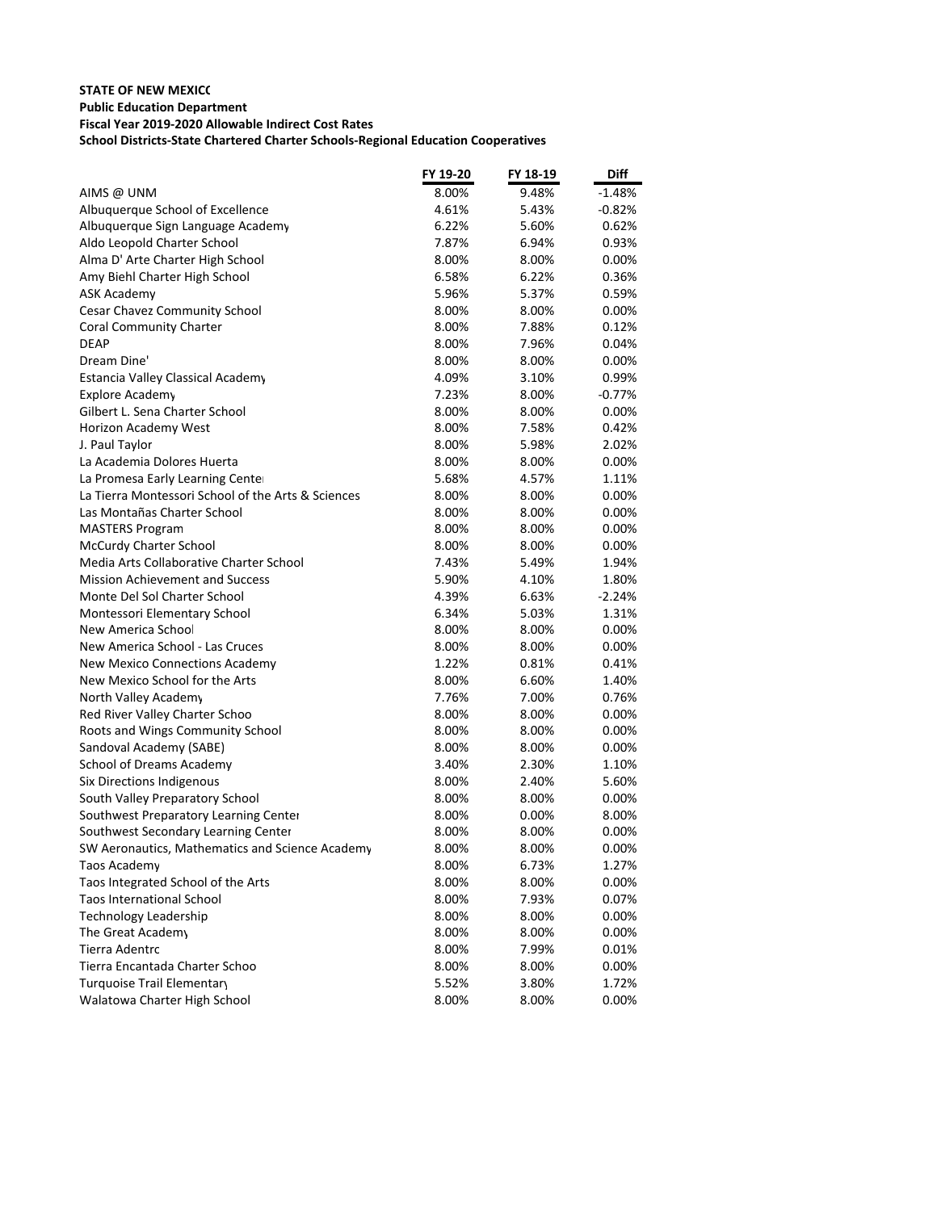|                                                    | FY 19-20 | FY 18-19 | Diff     |
|----------------------------------------------------|----------|----------|----------|
| AIMS @ UNM                                         | 8.00%    | 9.48%    | -1.48%   |
| Albuquerque School of Excellence                   | 4.61%    | 5.43%    | $-0.82%$ |
| Albuquerque Sign Language Academy                  | 6.22%    | 5.60%    | 0.62%    |
| Aldo Leopold Charter School                        | 7.87%    | 6.94%    | 0.93%    |
| Alma D' Arte Charter High School                   | 8.00%    | 8.00%    | $0.00\%$ |
| Amy Biehl Charter High School                      | 6.58%    | 6.22%    | 0.36%    |
| ASK Academy                                        | 5.96%    | 5.37%    | 0.59%    |
| <b>Cesar Chavez Community School</b>               | 8.00%    | 8.00%    | $0.00\%$ |
| <b>Coral Community Charter</b>                     | 8.00%    | 7.88%    | 0.12%    |
| <b>DEAP</b>                                        | 8.00%    | 7.96%    | 0.04%    |
| Dream Dine'                                        | 8.00%    | 8.00%    | 0.00%    |
| Estancia Valley Classical Academy                  | 4.09%    | 3.10%    | 0.99%    |
| <b>Explore Academy</b>                             | 7.23%    | 8.00%    | $-0.77%$ |
| Gilbert L. Sena Charter School                     | 8.00%    | 8.00%    | $0.00\%$ |
| <b>Horizon Academy West</b>                        | 8.00%    | 7.58%    | 0.42%    |
| J. Paul Taylor                                     | 8.00%    | 5.98%    | 2.02%    |
| La Academia Dolores Huerta                         | 8.00%    | 8.00%    | $0.00\%$ |
| La Promesa Early Learning Center                   | 5.68%    | 4.57%    | 1.11%    |
| La Tierra Montessori School of the Arts & Sciences | 8.00%    | 8.00%    | $0.00\%$ |
| Las Montañas Charter School                        | 8.00%    | 8.00%    | 0.00%    |
| <b>MASTERS Program</b>                             | 8.00%    | 8.00%    | $0.00\%$ |
| <b>McCurdy Charter School</b>                      | 8.00%    | 8.00%    | 0.00%    |
| Media Arts Collaborative Charter School            | 7.43%    | 5.49%    | 1.94%    |
| <b>Mission Achievement and Success</b>             | 5.90%    | 4.10%    | 1.80%    |
| Monte Del Sol Charter School                       | 4.39%    | 6.63%    | $-2.24%$ |
| Montessori Elementary School                       | 6.34%    | 5.03%    | 1.31%    |
| New America School                                 | 8.00%    | 8.00%    | $0.00\%$ |
| New America School - Las Cruces                    | 8.00%    | 8.00%    | $0.00\%$ |
| New Mexico Connections Academy                     | 1.22%    | 0.81%    | 0.41%    |
| New Mexico School for the Arts                     | 8.00%    | 6.60%    | 1.40%    |
| North Valley Academy                               | 7.76%    | 7.00%    | 0.76%    |
| Red River Valley Charter Schoo                     | 8.00%    | 8.00%    | $0.00\%$ |
| Roots and Wings Community School                   | 8.00%    | 8.00%    | $0.00\%$ |
| Sandoval Academy (SABE)                            | 8.00%    | 8.00%    | $0.00\%$ |
| School of Dreams Academy                           | 3.40%    | 2.30%    | 1.10%    |
| Six Directions Indigenous                          | 8.00%    | 2.40%    | 5.60%    |
| South Valley Preparatory School                    | 8.00%    | 8.00%    | $0.00\%$ |
| Southwest Preparatory Learning Center              | 8.00%    | 0.00%    | 8.00%    |
| Southwest Secondary Learning Center                | 8.00%    | 8.00%    | 0.00%    |
| SW Aeronautics, Mathematics and Science Academy    | 8.00%    | 8.00%    | 0.00%    |
| Taos Academy                                       | 8.00%    | 6.73%    | 1.27%    |
| Taos Integrated School of the Arts                 | 8.00%    | 8.00%    | 0.00%    |
| <b>Taos International School</b>                   | 8.00%    | 7.93%    | 0.07%    |
| <b>Technology Leadership</b>                       | 8.00%    | 8.00%    | 0.00%    |
| The Great Academy                                  | 8.00%    | 8.00%    | $0.00\%$ |
| Tierra Adentro                                     | 8.00%    | 7.99%    | 0.01%    |
| Tierra Encantada Charter Schoo                     | 8.00%    | 8.00%    | 0.00%    |
| Turquoise Trail Elementary                         | 5.52%    | 3.80%    | 1.72%    |
| Walatowa Charter High School                       | 8.00%    | 8.00%    | 0.00%    |